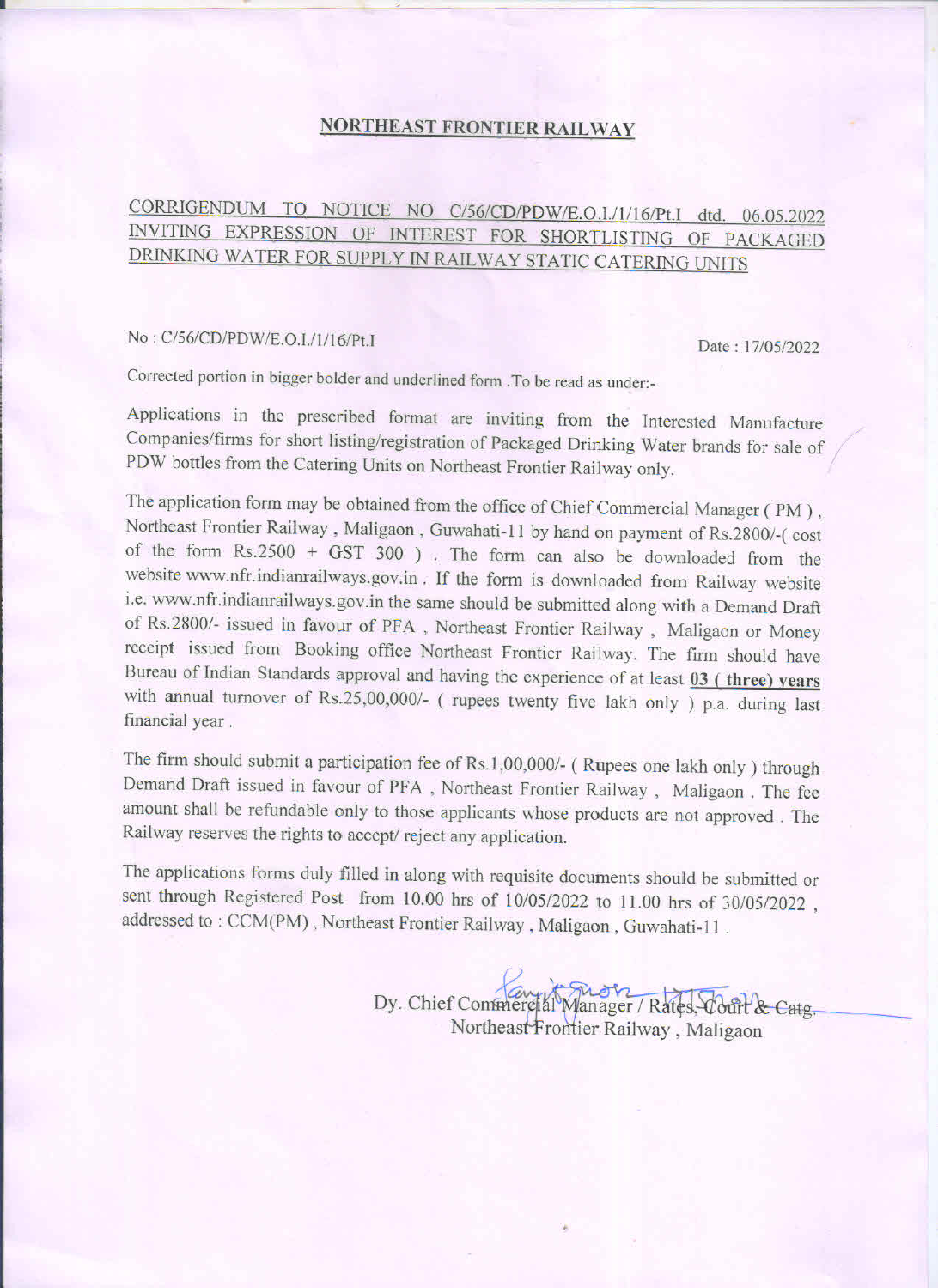## **NORTHEAST FRONTIER RAILWAY**

## CORRIGENDUM TO NOTICE NO C/56/CD/PDW/E.O.I./1/16/Pt.I dtd. 06.05.2022 INVITING EXPRESSION OF INTEREST FOR SHORTLISTING OF PACKAGED DRINKING WATER FOR SUPPLY IN RAILWAY STATIC CATERING UNITS

## No: C/56/CD/PDW/E.O.I./1/16/Pt.I

Date: 17/05/2022

Corrected portion in bigger bolder and underlined form . To be read as under:-

Applications in the prescribed format are inviting from the Interested Manufacture Companies/firms for short listing/registration of Packaged Drinking Water brands for sale of PDW bottles from the Catering Units on Northeast Frontier Railway only.

The application form may be obtained from the office of Chief Commercial Manager (PM), Northeast Frontier Railway, Maligaon, Guwahati-11 by hand on payment of Rs.2800/-(cost of the form Rs.2500 + GST 300). The form can also be downloaded from the website www.nfr.indianrailways.gov.in. If the form is downloaded from Railway website i.e. www.nfr.indianrailways.gov.in the same should be submitted along with a Demand Draft of Rs.2800/- issued in favour of PFA, Northeast Frontier Railway, Maligaon or Money receipt issued from Booking office Northeast Frontier Railway. The firm should have Bureau of Indian Standards approval and having the experience of at least 03 (three) years with annual turnover of Rs.25,00,000/- (rupees twenty five lakh only ) p.a. during last financial year.

The firm should submit a participation fee of Rs.1,00,000/- (Rupees one lakh only) through Demand Draft issued in favour of PFA, Northeast Frontier Railway, Maligaon. The fee amount shall be refundable only to those applicants whose products are not approved. The Railway reserves the rights to accept/reject any application.

The applications forms duly filled in along with requisite documents should be submitted or sent through Registered Post from 10.00 hrs of 10/05/2022 to 11.00 hrs of 30/05/2022, addressed to: CCM(PM), Northeast Frontier Railway, Maligaon, Guwahati-11.

> Dy. Chief Commercial Manager / Rates, Court & Catg. Northeast Frontier Railway, Maligaon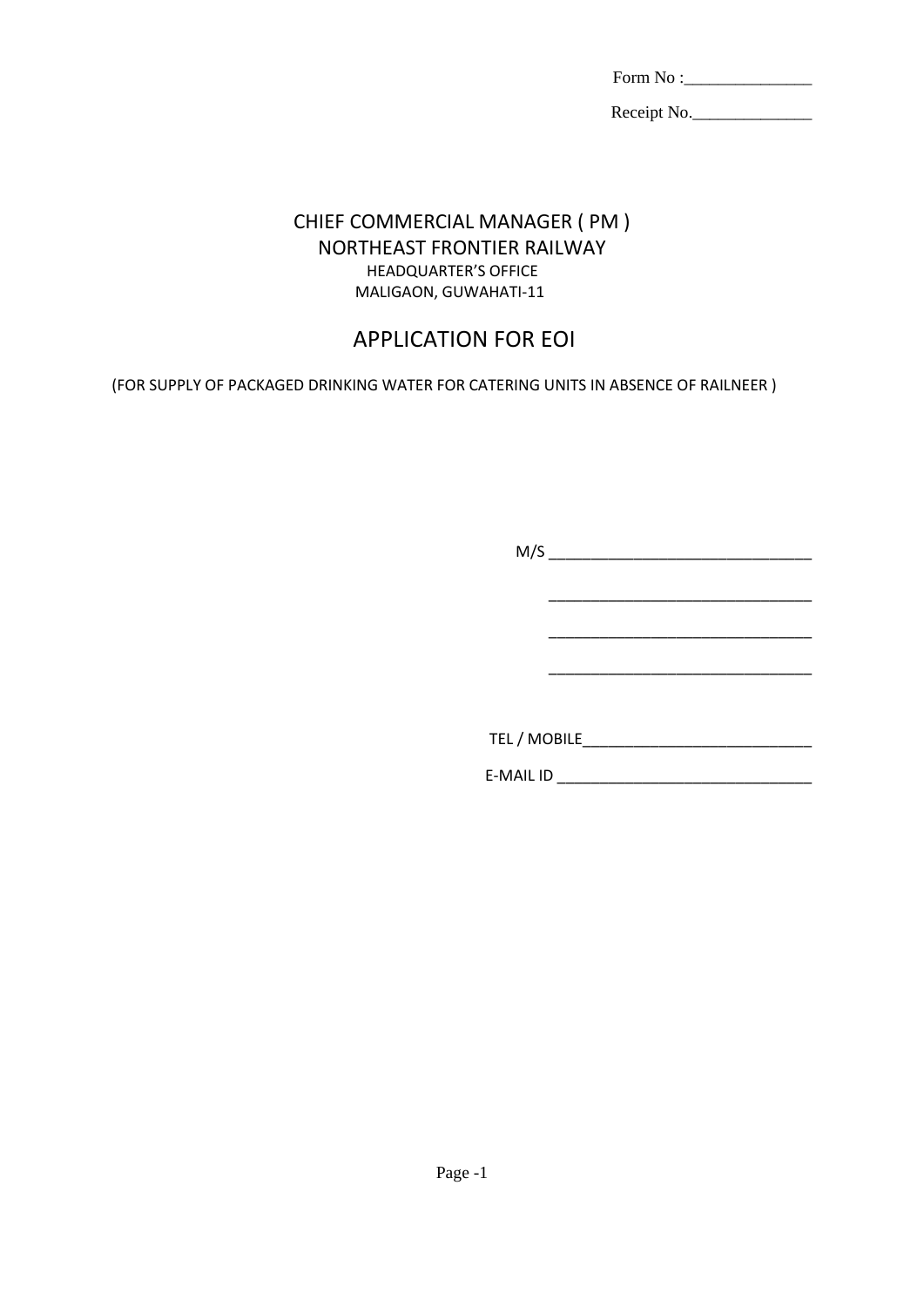| Form No : |  |
|-----------|--|
|-----------|--|

Receipt No.

## CHIEF COMMERCIAL MANAGER ( PM ) NORTHEAST FRONTIER RAILWAY HEADQUARTER'S OFFICE MALIGAON, GUWAHATI-11

# APPLICATION FOR EOI

(FOR SUPPLY OF PACKAGED DRINKING WATER FOR CATERING UNITS IN ABSENCE OF RAILNEER )

| TEL / MOBILE     |  |  |  |
|------------------|--|--|--|
| <b>E-MAIL ID</b> |  |  |  |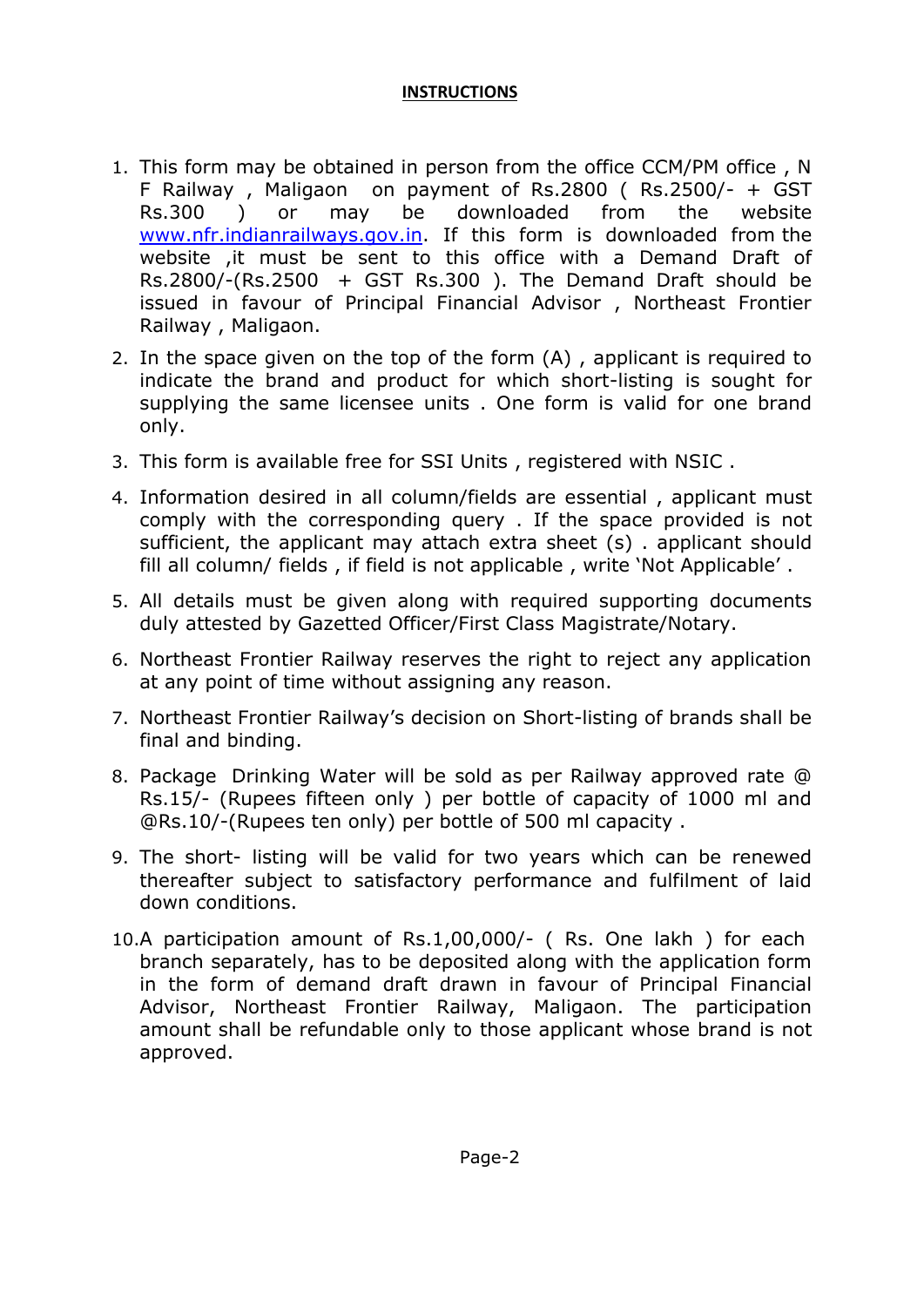## **INSTRUCTIONS**

- 1. This form may be obtained in person from the office CCM/PM office , N F Railway , Maligaon on payment of Rs.2800 ( Rs.2500/- + GST Rs.300 ) or may be downloaded from the website [www.nfr.indianrailways.gov.in.](http://www.nfr.indianrailways.gov.in/) If this form is downloaded from the website ,it must be sent to this office with a Demand Draft of Rs.2800/-(Rs.2500 + GST Rs.300). The Demand Draft should be issued in favour of Principal Financial Advisor , Northeast Frontier Railway , Maligaon.
- 2. In the space given on the top of the form (A) , applicant is required to indicate the brand and product for which short-listing is sought for supplying the same licensee units . One form is valid for one brand only.
- 3. This form is available free for SSI Units , registered with NSIC .
- 4. Information desired in all column/fields are essential , applicant must comply with the corresponding query . If the space provided is not sufficient, the applicant may attach extra sheet (s) . applicant should fill all column/ fields , if field is not applicable , write 'Not Applicable' .
- 5. All details must be given along with required supporting documents duly attested by Gazetted Officer/First Class Magistrate/Notary.
- 6. Northeast Frontier Railway reserves the right to reject any application at any point of time without assigning any reason.
- 7. Northeast Frontier Railway's decision on Short-listing of brands shall be final and binding.
- 8. Package Drinking Water will be sold as per Railway approved rate @ Rs.15/- (Rupees fifteen only ) per bottle of capacity of 1000 ml and @Rs.10/-(Rupees ten only) per bottle of 500 ml capacity .
- 9. The short- listing will be valid for two years which can be renewed thereafter subject to satisfactory performance and fulfilment of laid down conditions.
- 10.A participation amount of Rs.1,00,000/- ( Rs. One lakh ) for each branch separately, has to be deposited along with the application form in the form of demand draft drawn in favour of Principal Financial Advisor, Northeast Frontier Railway, Maligaon. The participation amount shall be refundable only to those applicant whose brand is not approved.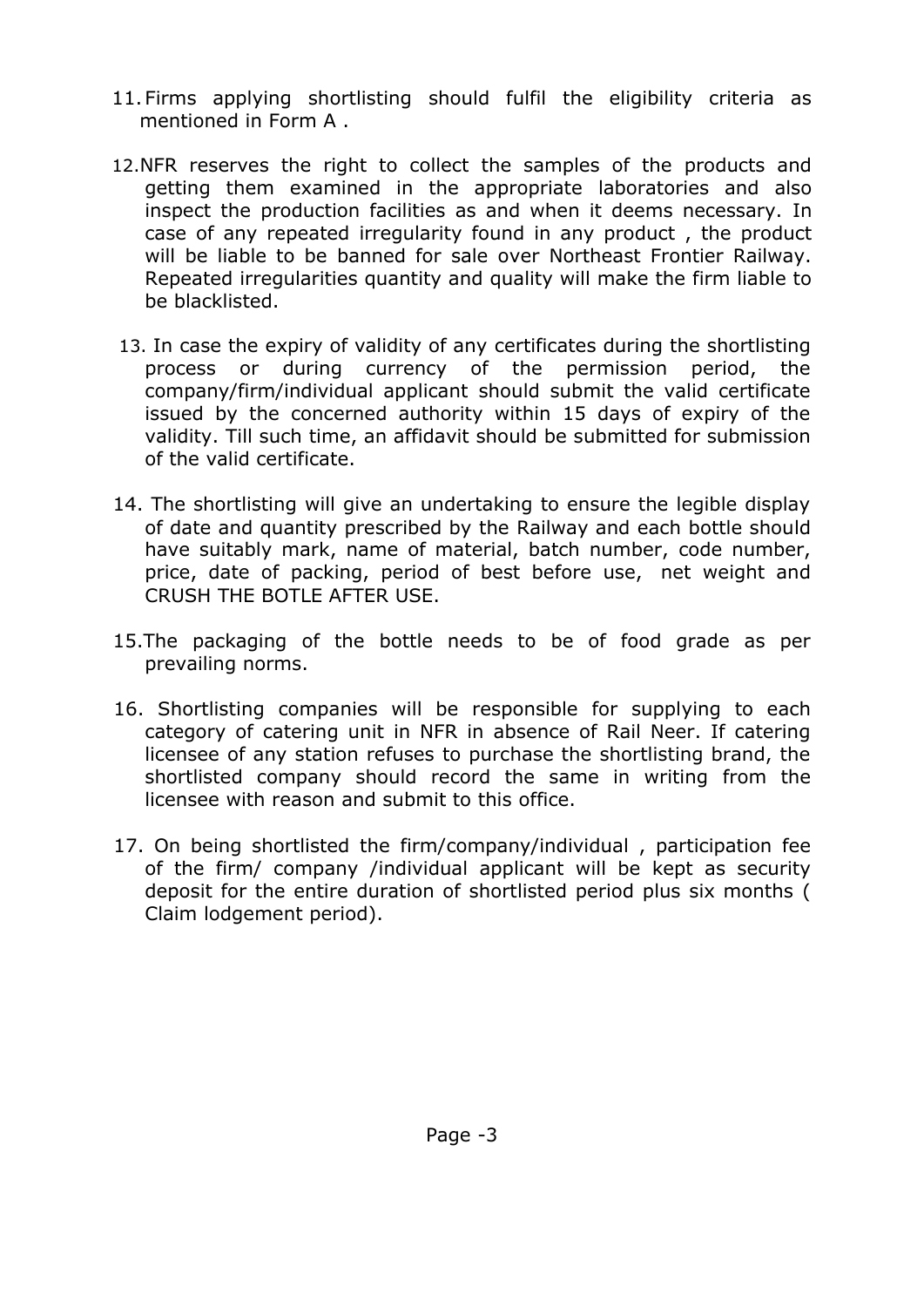- 11.Firms applying shortlisting should fulfil the eligibility criteria as mentioned in Form A .
- 12.NFR reserves the right to collect the samples of the products and getting them examined in the appropriate laboratories and also inspect the production facilities as and when it deems necessary. In case of any repeated irregularity found in any product , the product will be liable to be banned for sale over Northeast Frontier Railway. Repeated irregularities quantity and quality will make the firm liable to be blacklisted.
- 13. In case the expiry of validity of any certificates during the shortlisting process or during currency of the permission period, the company/firm/individual applicant should submit the valid certificate issued by the concerned authority within 15 days of expiry of the validity. Till such time, an affidavit should be submitted for submission of the valid certificate.
- 14. The shortlisting will give an undertaking to ensure the legible display of date and quantity prescribed by the Railway and each bottle should have suitably mark, name of material, batch number, code number, price, date of packing, period of best before use, net weight and CRUSH THE BOTLE AFTER USE.
- 15.The packaging of the bottle needs to be of food grade as per prevailing norms.
- 16. Shortlisting companies will be responsible for supplying to each category of catering unit in NFR in absence of Rail Neer. If catering licensee of any station refuses to purchase the shortlisting brand, the shortlisted company should record the same in writing from the licensee with reason and submit to this office.
- 17. On being shortlisted the firm/company/individual , participation fee of the firm/ company /individual applicant will be kept as security deposit for the entire duration of shortlisted period plus six months ( Claim lodgement period).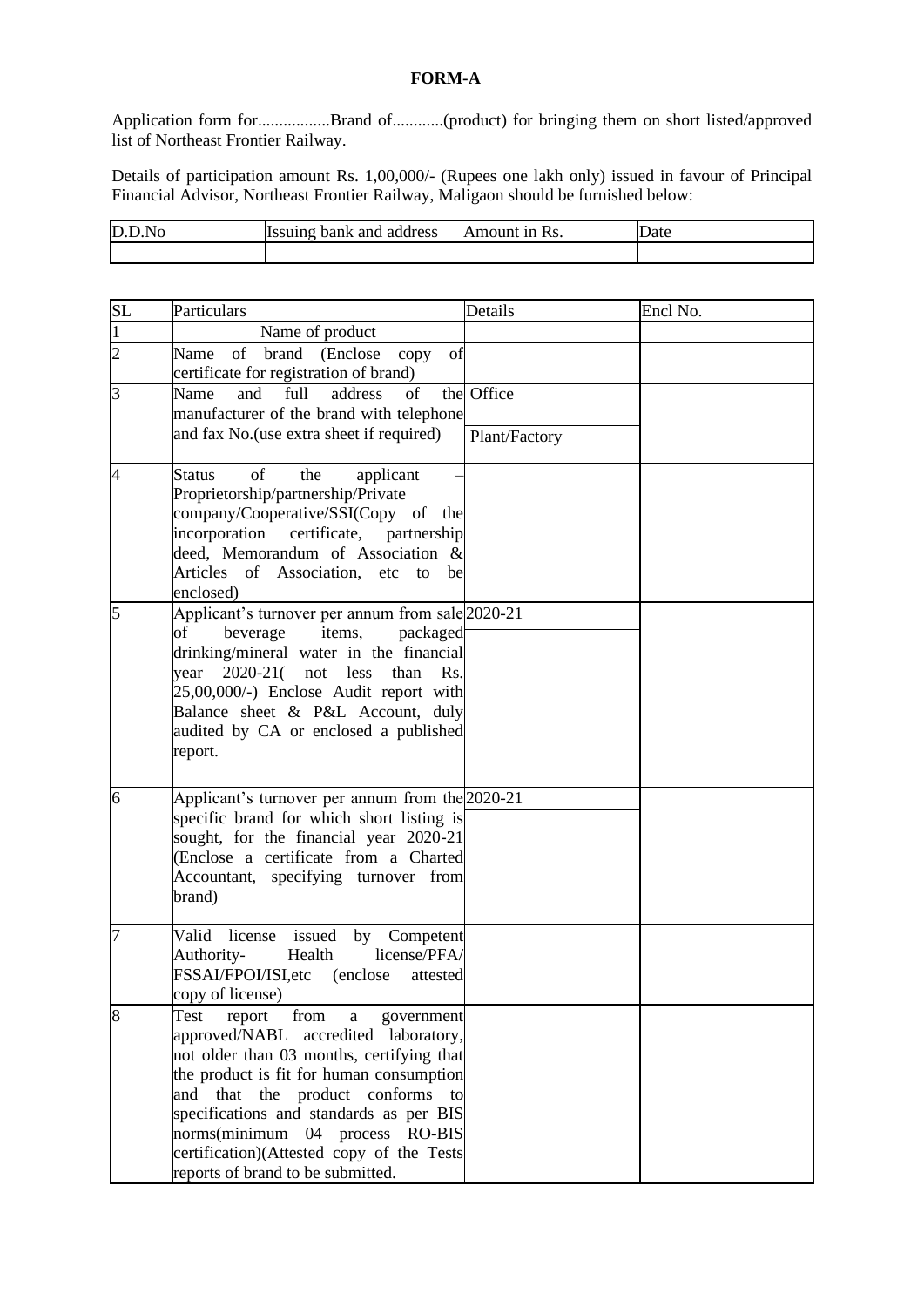## **FORM-A**

Application form for.................Brand of............(product) for bringing them on short listed/approved list of Northeast Frontier Railway.

Details of participation amount Rs. 1,00,000/- (Rupees one lakh only) issued in favour of Principal Financial Advisor, Northeast Frontier Railway, Maligaon should be furnished below:

| D.D<br>'.No | Issuing bank and address | Amount in Rs. | Date |
|-------------|--------------------------|---------------|------|
|             |                          |               |      |

| SL                       | Particulars                                                                                                                                                                                                                                                                                                                                                                                | Details                     | Encl No. |
|--------------------------|--------------------------------------------------------------------------------------------------------------------------------------------------------------------------------------------------------------------------------------------------------------------------------------------------------------------------------------------------------------------------------------------|-----------------------------|----------|
| 1                        | Name of product                                                                                                                                                                                                                                                                                                                                                                            |                             |          |
| $\overline{2}$           | of brand (Enclose<br>Name<br>copy<br>of<br>certificate for registration of brand)                                                                                                                                                                                                                                                                                                          |                             |          |
| $\overline{3}$           | Name<br>and<br>full<br>address<br>of<br>manufacturer of the brand with telephone<br>and fax No. (use extra sheet if required)                                                                                                                                                                                                                                                              | the Office<br>Plant/Factory |          |
| $\overline{\mathcal{A}}$ | of<br><b>Status</b><br>the<br>applicant<br>Proprietorship/partnership/Private<br>company/Cooperative/SSI(Copy of the<br>incorporation certificate, partnership<br>deed, Memorandum of Association $\&$<br>Articles of Association, etc<br>be<br>to<br>enclosed)                                                                                                                            |                             |          |
| 5                        | Applicant's turnover per annum from sale 2020-21<br>of<br>items,<br>packaged<br>beverage<br>drinking/mineral water in the financial<br>$2020 - 21($<br>less<br>than<br>year<br>not<br>Rs.<br>25,00,000/-) Enclose Audit report with<br>Balance sheet & P&L Account, duly<br>audited by CA or enclosed a published<br>report.                                                               |                             |          |
| 6                        | Applicant's turnover per annum from the 2020-21<br>specific brand for which short listing is<br>sought, for the financial year 2020-21<br>(Enclose a certificate from a Charted<br>Accountant, specifying turnover from<br>brand)                                                                                                                                                          |                             |          |
| 7                        | issued<br>Valid<br>license<br>by<br>Competent<br>Authority-<br>license/PFA/<br>Health<br>FSSAI/FPOI/ISI,etc<br>(enclose)<br>attested<br>copy of license)                                                                                                                                                                                                                                   |                             |          |
| 8                        | from<br>Test<br>report<br>government<br>a<br>approved/NABL accredited laboratory,<br>not older than 03 months, certifying that<br>the product is fit for human consumption<br>product conforms<br>that the<br>and<br>to<br>specifications and standards as per BIS<br>norms(minimum<br>04 process RO-BIS<br>certification)(Attested copy of the Tests<br>reports of brand to be submitted. |                             |          |